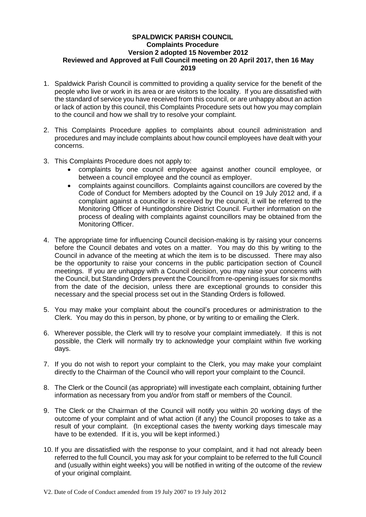## **SPALDWICK PARISH COUNCIL Complaints Procedure Version 2 adopted 15 November 2012 Reviewed and Approved at Full Council meeting on 20 April 2017, then 16 May 2019**

- 1. Spaldwick Parish Council is committed to providing a quality service for the benefit of the people who live or work in its area or are visitors to the locality. If you are dissatisfied with the standard of service you have received from this council, or are unhappy about an action or lack of action by this council, this Complaints Procedure sets out how you may complain to the council and how we shall try to resolve your complaint.
- 2. This Complaints Procedure applies to complaints about council administration and procedures and may include complaints about how council employees have dealt with your concerns.
- 3. This Complaints Procedure does not apply to:
	- complaints by one council employee against another council employee, or between a council employee and the council as employer.
	- complaints against councillors. Complaints against councillors are covered by the Code of Conduct for Members adopted by the Council on 19 July 2012 and, if a complaint against a councillor is received by the council, it will be referred to the Monitoring Officer of Huntingdonshire District Council. Further information on the process of dealing with complaints against councillors may be obtained from the Monitoring Officer.
- 4. The appropriate time for influencing Council decision-making is by raising your concerns before the Council debates and votes on a matter. You may do this by writing to the Council in advance of the meeting at which the item is to be discussed. There may also be the opportunity to raise your concerns in the public participation section of Council meetings. If you are unhappy with a Council decision, you may raise your concerns with the Council, but Standing Orders prevent the Council from re-opening issues for six months from the date of the decision, unless there are exceptional grounds to consider this necessary and the special process set out in the Standing Orders is followed.
- 5. You may make your complaint about the council's procedures or administration to the Clerk. You may do this in person, by phone, or by writing to or emailing the Clerk.
- 6. Wherever possible, the Clerk will try to resolve your complaint immediately. If this is not possible, the Clerk will normally try to acknowledge your complaint within five working days.
- 7. If you do not wish to report your complaint to the Clerk, you may make your complaint directly to the Chairman of the Council who will report your complaint to the Council.
- 8. The Clerk or the Council (as appropriate) will investigate each complaint, obtaining further information as necessary from you and/or from staff or members of the Council.
- 9. The Clerk or the Chairman of the Council will notify you within 20 working days of the outcome of your complaint and of what action (if any) the Council proposes to take as a result of your complaint. (In exceptional cases the twenty working days timescale may have to be extended. If it is, you will be kept informed.)
- 10. If you are dissatisfied with the response to your complaint, and it had not already been referred to the full Council, you may ask for your complaint to be referred to the full Council and (usually within eight weeks) you will be notified in writing of the outcome of the review of your original complaint.